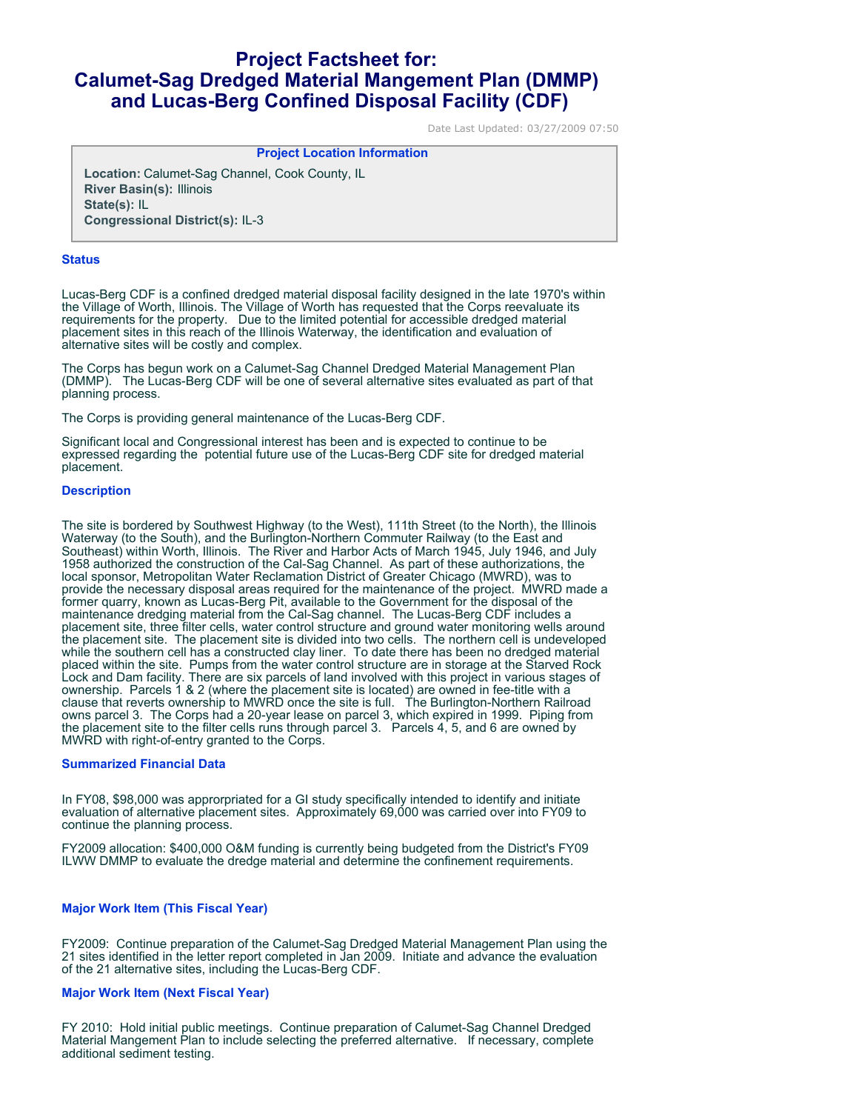# **Project Factsheet for: Calumet-Sag Dredged Material Mangement Plan (DMMP) and Lucas-Berg Confined Disposal Facility (CDF)**

Date Last Updated: 03/27/2009 07:50

# **Project Location Information**

**Location:** Calumet-Sag Channel, Cook County, IL **River Basin(s):** Illinois **State(s):** IL **Congressional District(s):** IL-3

#### **Status**

Lucas-Berg CDF is a confined dredged material disposal facility designed in the late 1970's within the Village of Worth, Illinois. The Village of Worth has requested that the Corps reevaluate its requirements for the property. Due to the limited potential for accessible dredged material placement sites in this reach of the Illinois Waterway, the identification and evaluation of alternative sites will be costly and complex.

The Corps has begun work on a Calumet-Sag Channel Dredged Material Management Plan (DMMP). The Lucas-Berg CDF will be one of several alternative sites evaluated as part of that planning process.

The Corps is providing general maintenance of the Lucas-Berg CDF.

Significant local and Congressional interest has been and is expected to continue to be expressed regarding the potential future use of the Lucas-Berg CDF site for dredged material placement.

#### **Description**

The site is bordered by Southwest Highway (to the West), 111th Street (to the North), the Illinois Waterway (to the South), and the Burlington-Northern Commuter Railway (to the East and Southeast) within Worth, Illinois. The River and Harbor Acts of March 1945, July 1946, and July 1958 authorized the construction of the Cal-Sag Channel. As part of these authorizations, the local sponsor, Metropolitan Water Reclamation District of Greater Chicago (MWRD), was to provide the necessary disposal areas required for the maintenance of the project. MWRD made a former quarry, known as Lucas-Berg Pit, available to the Government for the disposal of the maintenance dredging material from the Cal-Sag channel. The Lucas-Berg CDF includes a placement site, three filter cells, water control structure and ground water monitoring wells around the placement site. The placement site is divided into two cells. The northern cell is undeveloped while the southern cell has a constructed clay liner. To date there has been no dredged material placed within the site. Pumps from the water control structure are in storage at the Starved Rock Lock and Dam facility. There are six parcels of land involved with this project in various stages of ownership. Parcels 1 & 2 (where the placement site is located) are owned in fee-title with a clause that reverts ownership to MWRD once the site is full. The Burlington-Northern Railroad owns parcel 3. The Corps had a 20-year lease on parcel 3, which expired in 1999. Piping from the placement site to the filter cells runs through parcel 3. Parcels 4, 5, and 6 are owned by MWRD with right-of-entry granted to the Corps.

#### **Summarized Financial Data**

In FY08, \$98,000 was approrpriated for a GI study specifically intended to identify and initiate evaluation of alternative placement sites. Approximately 69,000 was carried over into FY09 to continue the planning process.

FY2009 allocation: \$400,000 O&M funding is currently being budgeted from the District's FY09 ILWW DMMP to evaluate the dredge material and determine the confinement requirements.

### **Major Work Item (This Fiscal Year)**

FY2009: Continue preparation of the Calumet-Sag Dredged Material Management Plan using the 21 sites identified in the letter report completed in Jan 2009. Initiate and advance the evaluation of the 21 alternative sites, including the Lucas-Berg CDF.

## **Major Work Item (Next Fiscal Year)**

FY 2010: Hold initial public meetings. Continue preparation of Calumet-Sag Channel Dredged Material Mangement Plan to include selecting the preferred alternative. If necessary, complete additional sediment testing.